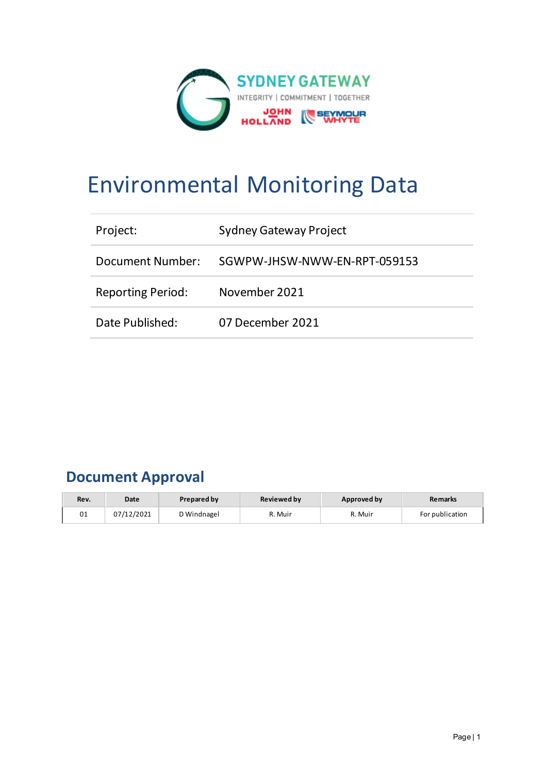

# Environmental Monitoring Data

| Project:                 | <b>Sydney Gateway Project</b> |
|--------------------------|-------------------------------|
| Document Number:         | SGWPW-JHSW-NWW-EN-RPT-059153  |
| <b>Reporting Period:</b> | November 2021                 |
| Date Published:          | 07 December 2021              |

# **Document Approval**

| Rev. | Date       | <b>Prepared by</b> | <b>Reviewed by</b> | Approved by | <b>Remarks</b>  |
|------|------------|--------------------|--------------------|-------------|-----------------|
| 01   | 07/12/2021 | D Windnagel        | ለ. Muir            | R. Muir     | For publication |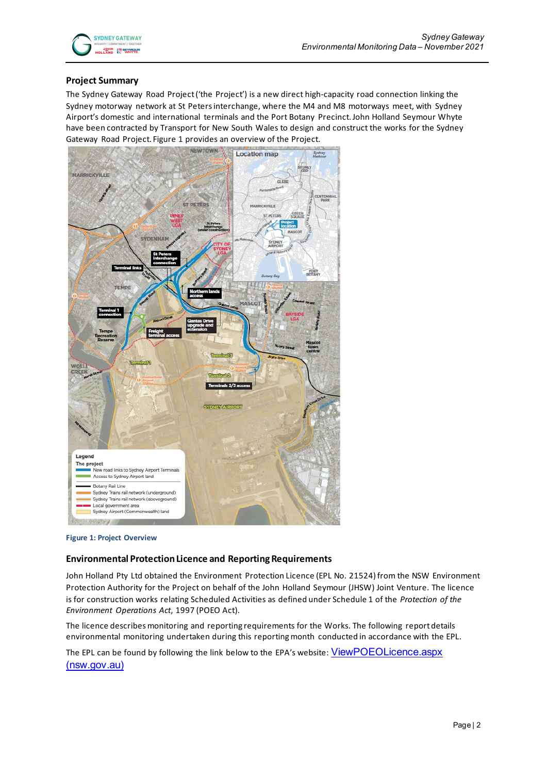

### **Project Summary**

The Sydney Gateway Road Project ('the Project') is a new direct high-capacity road connection linking the Sydney motorway network at St Peters interchange, where the M4 and M8 motorways meet, with Sydney Airport's domestic and international terminals and the Port Botany Precinct. John Holland Seymour Whyte have been contracted by Transport for New South Wales to design and construct the works for the Sydney Gateway Road Project. Figure 1 provides an overview of the Project.



**Figure 1: Project Overview**

#### **Environmental Protection Licence and Reporting Requirements**

John Holland Pty Ltd obtained the Environment Protection Licence (EPL No. 21524) from the NSW Environment Protection Authority for the Project on behalf of the John Holland Seymour (JHSW) Joint Venture. The licence is for construction works relating Scheduled Activities as defined under Schedule 1 of the *Protection of the Environment Operations Act*, 1997 (POEO Act).

The licence describes monitoring and reporting requirements for the Works. The following report details environmental monitoring undertaken during this reporting month conducted in accordance with the EPL.

The EPL can be found by following the link below to the EPA's website: ViewPOEOLicence.aspx [\(nsw.gov.au\)](https://app.epa.nsw.gov.au/prpoeoapp/ViewPOEOLicence.aspx?DOCID=223210&SYSUID=1&LICID=21524)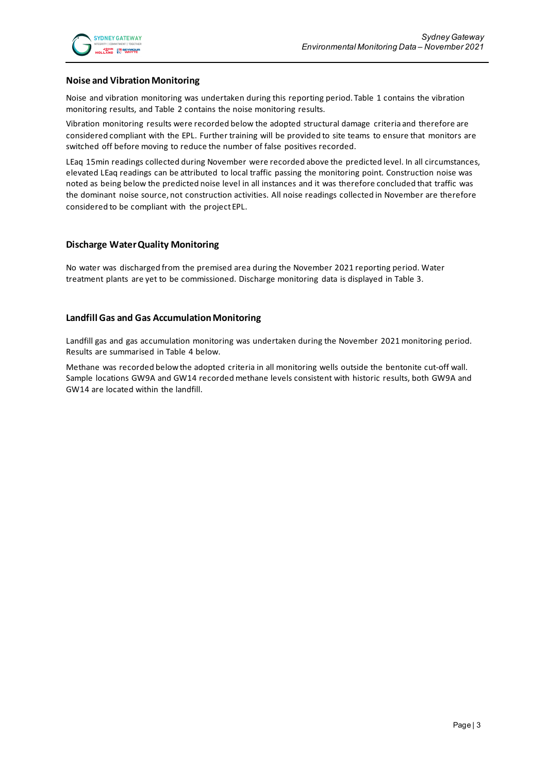#### **Noise and Vibration Monitoring**

Noise and vibration monitoring was undertaken during this reporting period. Table 1 contains the vibration monitoring results, and Table 2 contains the noise monitoring results.

Vibration monitoring results were recorded below the adopted structural damage criteria and therefore are considered compliant with the EPL. Further training will be provided to site teams to ensure that monitors are switched off before moving to reduce the number of false positives recorded.

LEaq 15min readings collected during November were recorded above the predicted level. In all circumstances, elevated LEaq readings can be attributed to local traffic passing the monitoring point. Construction noise was noted as being below the predicted noise level in all instances and it was therefore concluded that traffic was the dominant noise source, not construction activities. All noise readings collected in November are therefore considered to be compliant with the project EPL.

#### **Discharge Water Quality Monitoring**

No water was discharged from the premised area during the November 2021 reporting period. Water treatment plants are yet to be commissioned. Discharge monitoring data is displayed in Table 3.

#### **Landfill Gas and Gas Accumulation Monitoring**

Landfill gas and gas accumulation monitoring was undertaken during the November 2021 monitoring period. Results are summarised in Table 4 below.

Methane was recorded below the adopted criteria in all monitoring wells outside the bentonite cut-off wall. Sample locations GW9A and GW14 recorded methane levels consistent with historic results, both GW9A and GW14 are located within the landfill.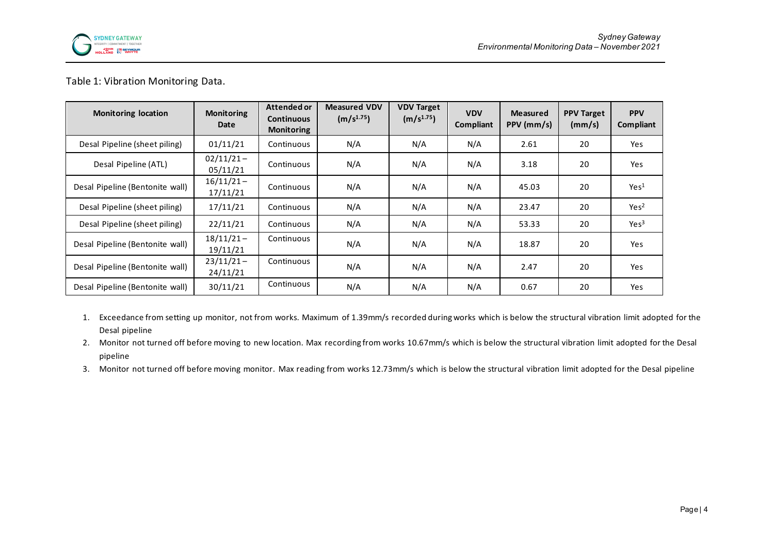

## Table 1: Vibration Monitoring Data.

| <b>Monitoring location</b>      | <b>Monitoring</b><br>Date | Attended or<br><b>Continuous</b><br><b>Monitoring</b> | <b>Measured VDV</b><br>(m/s <sup>1.75</sup> ) | <b>VDV Target</b><br>(m/s <sup>1.75</sup> ) | <b>VDV</b><br>Compliant | <b>Measured</b><br>PPV (mm/s) | <b>PPV Target</b><br>(mm/s) | <b>PPV</b><br>Compliant |
|---------------------------------|---------------------------|-------------------------------------------------------|-----------------------------------------------|---------------------------------------------|-------------------------|-------------------------------|-----------------------------|-------------------------|
| Desal Pipeline (sheet piling)   | 01/11/21                  | Continuous                                            | N/A                                           | N/A                                         | N/A                     | 2.61                          | 20                          | Yes                     |
| Desal Pipeline (ATL)            | $02/11/21 -$<br>05/11/21  | Continuous                                            | N/A                                           | N/A                                         | N/A                     | 3.18                          | 20                          | Yes                     |
| Desal Pipeline (Bentonite wall) | $16/11/21 -$<br>17/11/21  | Continuous                                            | N/A                                           | N/A                                         | N/A                     | 45.03                         | 20                          | Yes <sup>1</sup>        |
| Desal Pipeline (sheet piling)   | 17/11/21                  | Continuous                                            | N/A                                           | N/A                                         | N/A                     | 23.47                         | 20                          | Yes <sup>2</sup>        |
| Desal Pipeline (sheet piling)   | 22/11/21                  | Continuous                                            | N/A                                           | N/A                                         | N/A                     | 53.33                         | 20                          | Yes <sup>3</sup>        |
| Desal Pipeline (Bentonite wall) | $18/11/21 -$<br>19/11/21  | Continuous                                            | N/A                                           | N/A                                         | N/A                     | 18.87                         | 20                          | Yes                     |
| Desal Pipeline (Bentonite wall) | $23/11/21 -$<br>24/11/21  | Continuous                                            | N/A                                           | N/A                                         | N/A                     | 2.47                          | 20                          | Yes                     |
| Desal Pipeline (Bentonite wall) | 30/11/21                  | Continuous                                            | N/A                                           | N/A                                         | N/A                     | 0.67                          | 20                          | Yes                     |

- 1. Exceedance from setting up monitor, not from works. Maximum of 1.39mm/s recorded during works which is below the structural vibration limit adopted for the Desal pipeline
- 2. Monitor not turned off before moving to new location. Max recording from works 10.67mm/s which is below the structural vibration limit adopted for the Desal pipeline
- 3. Monitor not turned off before moving monitor. Max reading from works 12.73mm/s which is below the structural vibration limit adopted for the Desal pipeline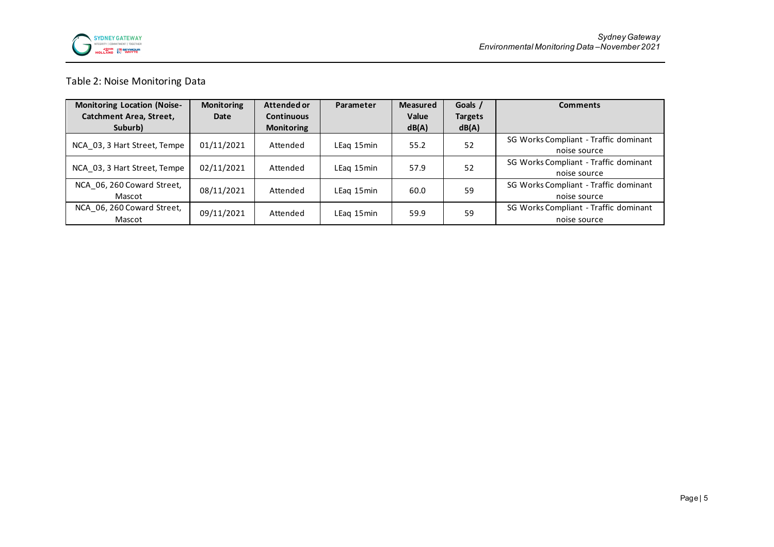

# Table 2: Noise Monitoring Data

| <b>Monitoring Location (Noise-</b> | <b>Monitoring</b> | Attended or       | Parameter  | <b>Measured</b> | Goals /        | <b>Comments</b>                       |
|------------------------------------|-------------------|-------------------|------------|-----------------|----------------|---------------------------------------|
| <b>Catchment Area, Street,</b>     | Date              | <b>Continuous</b> |            | Value           | <b>Targets</b> |                                       |
| Suburb)                            |                   | <b>Monitoring</b> |            | dB(A)           | dB(A)          |                                       |
| NCA 03, 3 Hart Street, Tempe       | 01/11/2021        | Attended          | LEag 15min | 55.2            | 52             | SG Works Compliant - Traffic dominant |
|                                    |                   |                   |            |                 |                | noise source                          |
| NCA 03, 3 Hart Street, Tempe       | 02/11/2021        | Attended          | LEag 15min | 57.9            | 52             | SG Works Compliant - Traffic dominant |
|                                    |                   |                   |            |                 |                | noise source                          |
| NCA 06, 260 Coward Street,         | 08/11/2021        | Attended          | LEag 15min | 60.0            | 59             | SG Works Compliant - Traffic dominant |
| Mascot                             |                   |                   |            |                 |                | noise source                          |
| NCA 06, 260 Coward Street,         | 09/11/2021        | Attended          | LEag 15min | 59.9            | 59             | SG Works Compliant - Traffic dominant |
| Mascot                             |                   |                   |            |                 |                | noise source                          |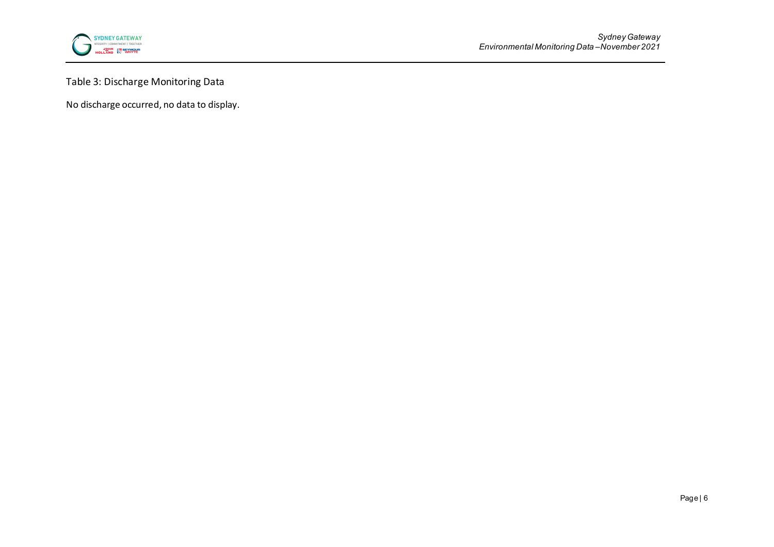

Table 3: Discharge Monitoring Data

No discharge occurred, no data to display.